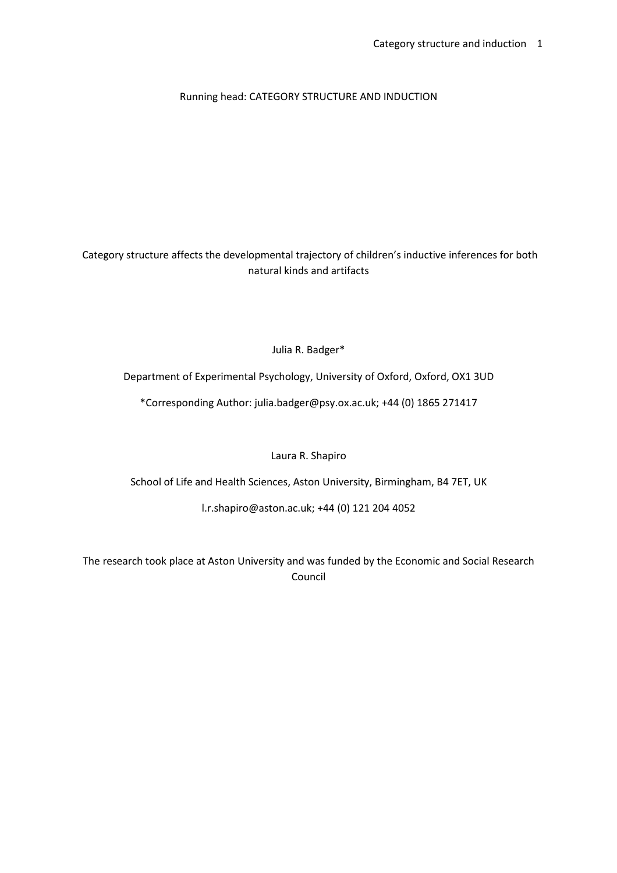## Running head: CATEGORY STRUCTURE AND INDUCTION

 Category structure affects the developmental trajectory of children's inductive inferences for both natural kinds and artifacts

Julia R. Badger\*

Department of Experimental Psychology, University of Oxford, Oxford, OX1 3UD

\*Corresponding Author: julia.badger@psy.ox.ac.uk; +44 (0) 1865 271417

Laura R. Shapiro

School of Life and Health Sciences, Aston University, Birmingham, B4 7ET, UK

l.r.shapiro@aston.ac.uk; +44 (0) 121 204 4052

The research took place at Aston University and was funded by the Economic and Social Research Council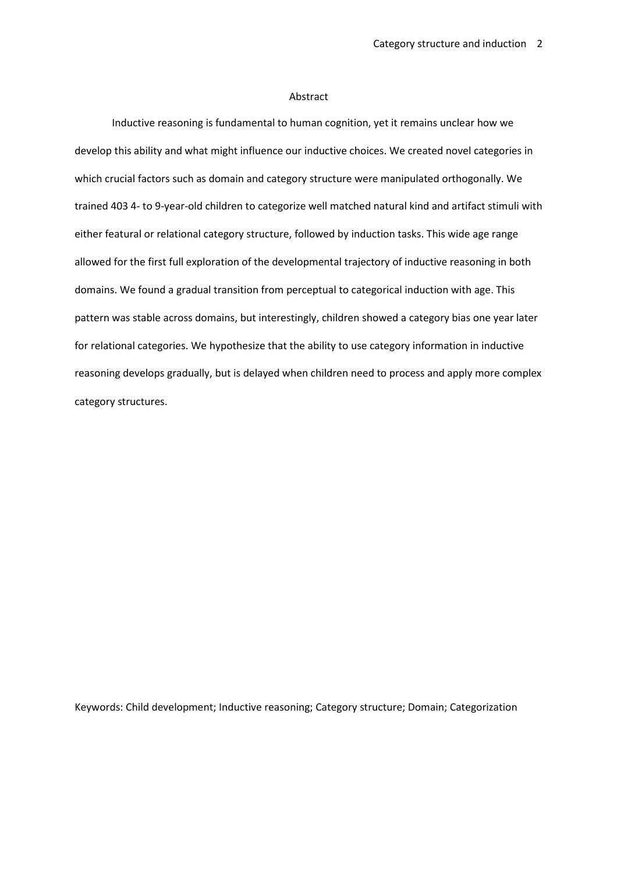## Abstract

Inductive reasoning is fundamental to human cognition, yet it remains unclear how we develop this ability and what might influence our inductive choices. We created novel categories in which crucial factors such as domain and category structure were manipulated orthogonally. We trained 403 4- to 9-year-old children to categorize well matched natural kind and artifact stimuli with either featural or relational category structure, followed by induction tasks. This wide age range allowed for the first full exploration of the developmental trajectory of inductive reasoning in both domains. We found a gradual transition from perceptual to categorical induction with age. This pattern was stable across domains, but interestingly, children showed a category bias one year later for relational categories. We hypothesize that the ability to use category information in inductive reasoning develops gradually, but is delayed when children need to process and apply more complex category structures.

Keywords: Child development; Inductive reasoning; Category structure; Domain; Categorization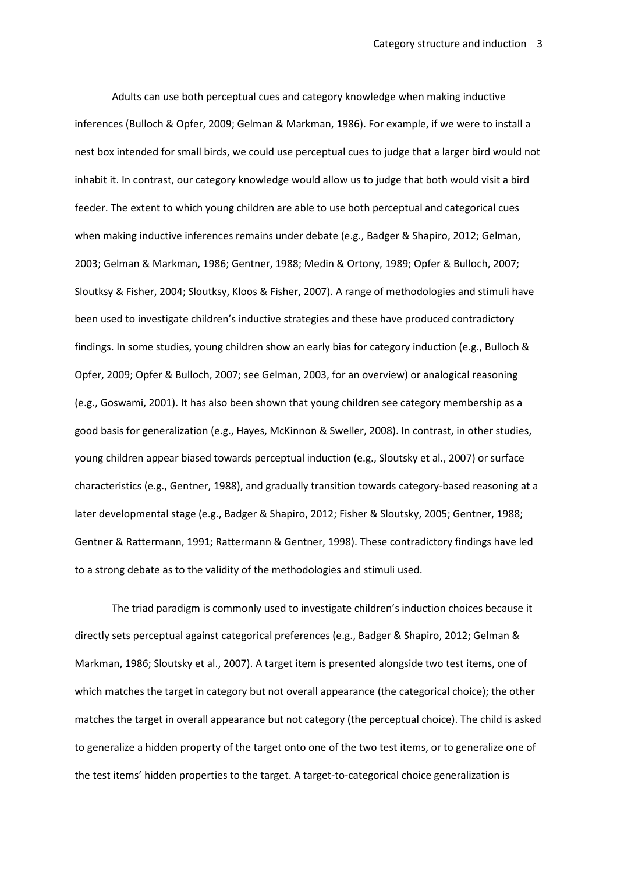Adults can use both perceptual cues and category knowledge when making inductive inferences (Bulloch & Opfer, 2009; Gelman & Markman, 1986). For example, if we were to install a nest box intended for small birds, we could use perceptual cues to judge that a larger bird would not inhabit it. In contrast, our category knowledge would allow us to judge that both would visit a bird feeder. The extent to which young children are able to use both perceptual and categorical cues when making inductive inferences remains under debate (e.g., Badger & Shapiro, 2012; Gelman, 2003; Gelman & Markman, 1986; Gentner, 1988; Medin & Ortony, 1989; Opfer & Bulloch, 2007; Sloutksy & Fisher, 2004; Sloutksy, Kloos & Fisher, 2007). A range of methodologies and stimuli have been used to investigate children's inductive strategies and these have produced contradictory findings. In some studies, young children show an early bias for category induction (e.g., Bulloch & Opfer, 2009; Opfer & Bulloch, 2007; see Gelman, 2003, for an overview) or analogical reasoning (e.g., Goswami, 2001). It has also been shown that young children see category membership as a good basis for generalization (e.g., Hayes, McKinnon & Sweller, 2008). In contrast, in other studies, young children appear biased towards perceptual induction (e.g., Sloutsky et al., 2007) or surface characteristics (e.g., Gentner, 1988), and gradually transition towards category-based reasoning at a later developmental stage (e.g., Badger & Shapiro, 2012; Fisher & Sloutsky, 2005; Gentner, 1988; Gentner & Rattermann, 1991; Rattermann & Gentner, 1998). These contradictory findings have led to a strong debate as to the validity of the methodologies and stimuli used.

The triad paradigm is commonly used to investigate children's induction choices because it directly sets perceptual against categorical preferences (e.g., Badger & Shapiro, 2012; Gelman & Markman, 1986; Sloutsky et al., 2007). A target item is presented alongside two test items, one of which matches the target in category but not overall appearance (the categorical choice); the other matches the target in overall appearance but not category (the perceptual choice). The child is asked to generalize a hidden property of the target onto one of the two test items, or to generalize one of the test items' hidden properties to the target. A target-to-categorical choice generalization is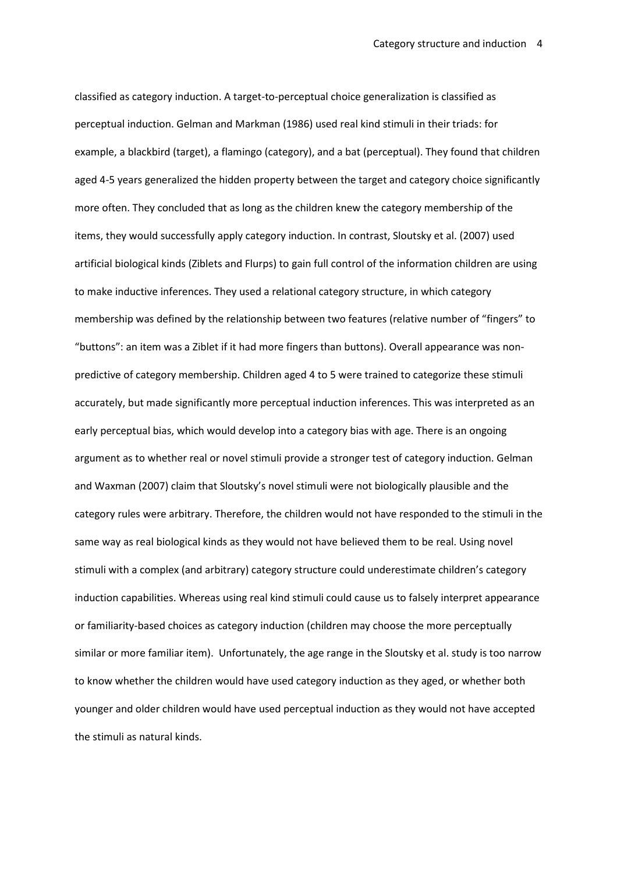classified as category induction. A target-to-perceptual choice generalization is classified as perceptual induction. Gelman and Markman (1986) used real kind stimuli in their triads: for example, a blackbird (target), a flamingo (category), and a bat (perceptual). They found that children aged 4-5 years generalized the hidden property between the target and category choice significantly more often. They concluded that as long as the children knew the category membership of the items, they would successfully apply category induction. In contrast, Sloutsky et al. (2007) used artificial biological kinds (Ziblets and Flurps) to gain full control of the information children are using to make inductive inferences. They used a relational category structure, in which category membership was defined by the relationship between two features (relative number of "fingers" to "buttons": an item was a Ziblet if it had more fingers than buttons). Overall appearance was nonpredictive of category membership. Children aged 4 to 5 were trained to categorize these stimuli accurately, but made significantly more perceptual induction inferences. This was interpreted as an early perceptual bias, which would develop into a category bias with age. There is an ongoing argument as to whether real or novel stimuli provide a stronger test of category induction. Gelman and Waxman (2007) claim that Sloutsky's novel stimuli were not biologically plausible and the category rules were arbitrary. Therefore, the children would not have responded to the stimuli in the same way as real biological kinds as they would not have believed them to be real. Using novel stimuli with a complex (and arbitrary) category structure could underestimate children's category induction capabilities. Whereas using real kind stimuli could cause us to falsely interpret appearance or familiarity-based choices as category induction (children may choose the more perceptually similar or more familiar item). Unfortunately, the age range in the Sloutsky et al. study is too narrow to know whether the children would have used category induction as they aged, or whether both younger and older children would have used perceptual induction as they would not have accepted the stimuli as natural kinds.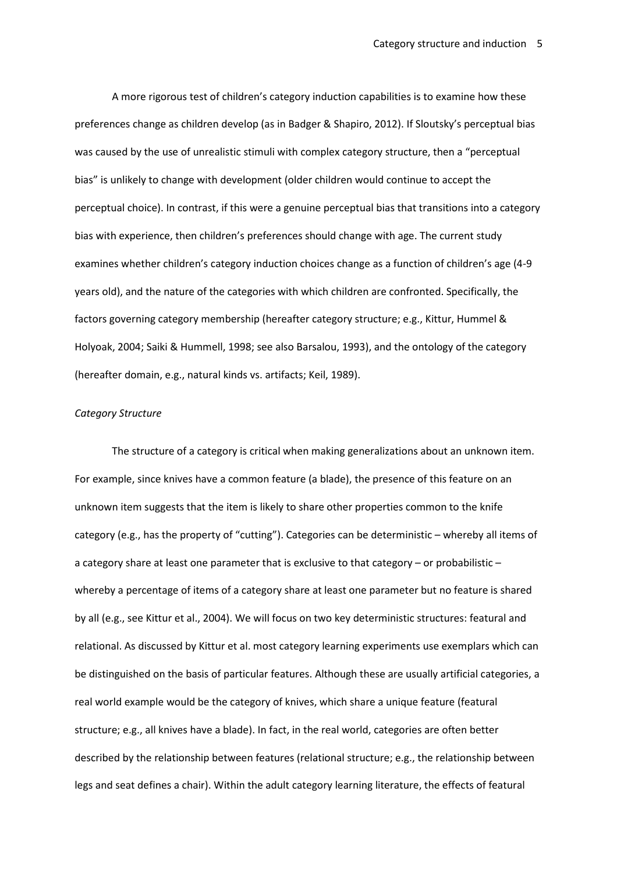A more rigorous test of children's category induction capabilities is to examine how these preferences change as children develop (as in Badger & Shapiro, 2012). If Sloutsky's perceptual bias was caused by the use of unrealistic stimuli with complex category structure, then a "perceptual bias" is unlikely to change with development (older children would continue to accept the perceptual choice). In contrast, if this were a genuine perceptual bias that transitions into a category bias with experience, then children's preferences should change with age. The current study examines whether children's category induction choices change as a function of children's age (4-9 years old), and the nature of the categories with which children are confronted. Specifically, the factors governing category membership (hereafter category structure; e.g., Kittur, Hummel & Holyoak, 2004; Saiki & Hummell, 1998; see also Barsalou, 1993), and the ontology of the category (hereafter domain, e.g., natural kinds vs. artifacts; Keil, 1989).

## *Category Structure*

The structure of a category is critical when making generalizations about an unknown item. For example, since knives have a common feature (a blade), the presence of this feature on an unknown item suggests that the item is likely to share other properties common to the knife category (e.g., has the property of "cutting"). Categories can be deterministic – whereby all items of a category share at least one parameter that is exclusive to that category – or probabilistic – whereby a percentage of items of a category share at least one parameter but no feature is shared by all (e.g., see Kittur et al., 2004). We will focus on two key deterministic structures: featural and relational. As discussed by Kittur et al. most category learning experiments use exemplars which can be distinguished on the basis of particular features. Although these are usually artificial categories, a real world example would be the category of knives, which share a unique feature (featural structure; e.g., all knives have a blade). In fact, in the real world, categories are often better described by the relationship between features (relational structure; e.g., the relationship between legs and seat defines a chair). Within the adult category learning literature, the effects of featural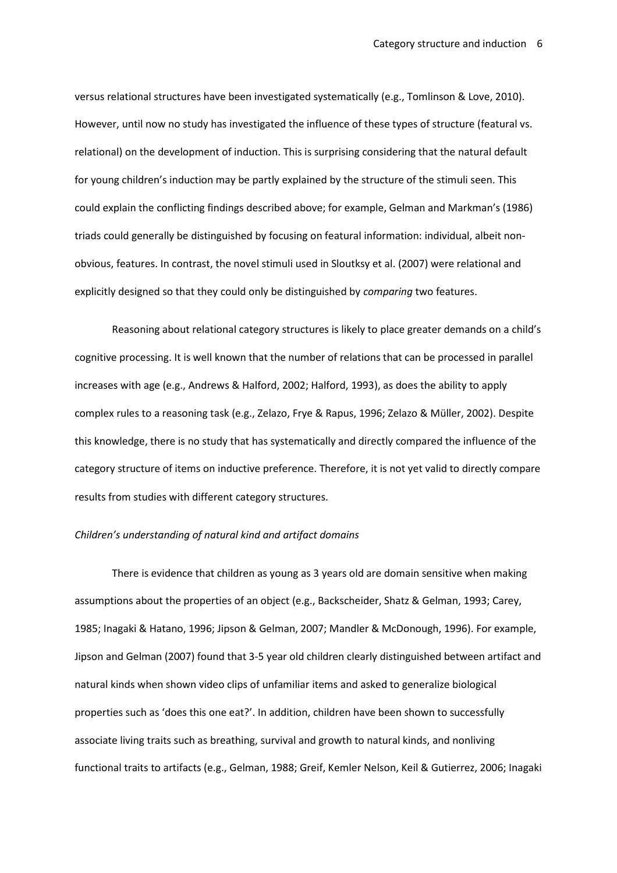versus relational structures have been investigated systematically (e.g., Tomlinson & Love, 2010). However, until now no study has investigated the influence of these types of structure (featural vs. relational) on the development of induction. This is surprising considering that the natural default for young children's induction may be partly explained by the structure of the stimuli seen. This could explain the conflicting findings described above; for example, Gelman and Markman's (1986) triads could generally be distinguished by focusing on featural information: individual, albeit nonobvious, features. In contrast, the novel stimuli used in Sloutksy et al. (2007) were relational and explicitly designed so that they could only be distinguished by *comparing* two features.

Reasoning about relational category structures is likely to place greater demands on a child's cognitive processing. It is well known that the number of relations that can be processed in parallel increases with age (e.g., Andrews & Halford, 2002; Halford, 1993), as does the ability to apply complex rules to a reasoning task (e.g., Zelazo, Frye & Rapus, 1996; Zelazo & Müller, 2002). Despite this knowledge, there is no study that has systematically and directly compared the influence of the category structure of items on inductive preference. Therefore, it is not yet valid to directly compare results from studies with different category structures.

## *Children's understanding of natural kind and artifact domains*

There is evidence that children as young as 3 years old are domain sensitive when making assumptions about the properties of an object (e.g., Backscheider, Shatz & Gelman, 1993; Carey, 1985; Inagaki & Hatano, 1996; Jipson & Gelman, 2007; Mandler & McDonough, 1996). For example, Jipson and Gelman (2007) found that 3-5 year old children clearly distinguished between artifact and natural kinds when shown video clips of unfamiliar items and asked to generalize biological properties such as 'does this one eat?'. In addition, children have been shown to successfully associate living traits such as breathing, survival and growth to natural kinds, and nonliving functional traits to artifacts (e.g., Gelman, 1988; Greif, Kemler Nelson, Keil & Gutierrez, 2006; Inagaki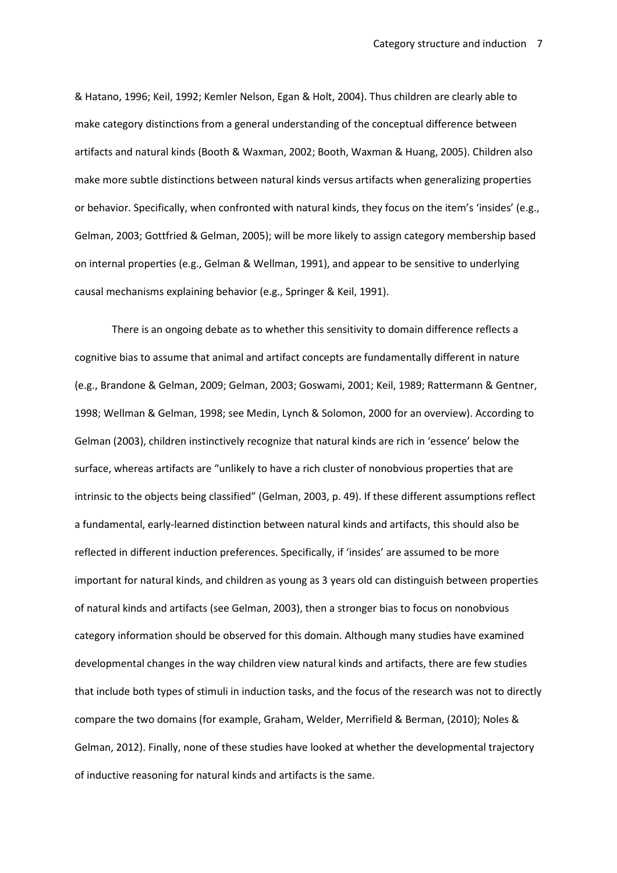& Hatano, 1996; Keil, 1992; Kemler Nelson, Egan & Holt, 2004). Thus children are clearly able to make category distinctions from a general understanding of the conceptual difference between artifacts and natural kinds (Booth & Waxman, 2002; Booth, Waxman & Huang, 2005). Children also make more subtle distinctions between natural kinds versus artifacts when generalizing properties or behavior. Specifically, when confronted with natural kinds, they focus on the item's 'insides' (e.g., Gelman, 2003; Gottfried & Gelman, 2005); will be more likely to assign category membership based on internal properties (e.g., Gelman & Wellman, 1991), and appear to be sensitive to underlying causal mechanisms explaining behavior (e.g., Springer & Keil, 1991).

There is an ongoing debate as to whether this sensitivity to domain difference reflects a cognitive bias to assume that animal and artifact concepts are fundamentally different in nature (e.g., Brandone & Gelman, 2009; Gelman, 2003; Goswami, 2001; Keil, 1989; Rattermann & Gentner, 1998; Wellman & Gelman, 1998; see Medin, Lynch & Solomon, 2000 for an overview). According to Gelman (2003), children instinctively recognize that natural kinds are rich in 'essence' below the surface, whereas artifacts are "unlikely to have a rich cluster of nonobvious properties that are intrinsic to the objects being classified" (Gelman, 2003, p. 49). If these different assumptions reflect a fundamental, early-learned distinction between natural kinds and artifacts, this should also be reflected in different induction preferences. Specifically, if 'insides' are assumed to be more important for natural kinds, and children as young as 3 years old can distinguish between properties of natural kinds and artifacts (see Gelman, 2003), then a stronger bias to focus on nonobvious category information should be observed for this domain. Although many studies have examined developmental changes in the way children view natural kinds and artifacts, there are few studies that include both types of stimuli in induction tasks, and the focus of the research was not to directly compare the two domains (for example, Graham, Welder, Merrifield & Berman, (2010); Noles & Gelman, 2012). Finally, none of these studies have looked at whether the developmental trajectory of inductive reasoning for natural kinds and artifacts is the same.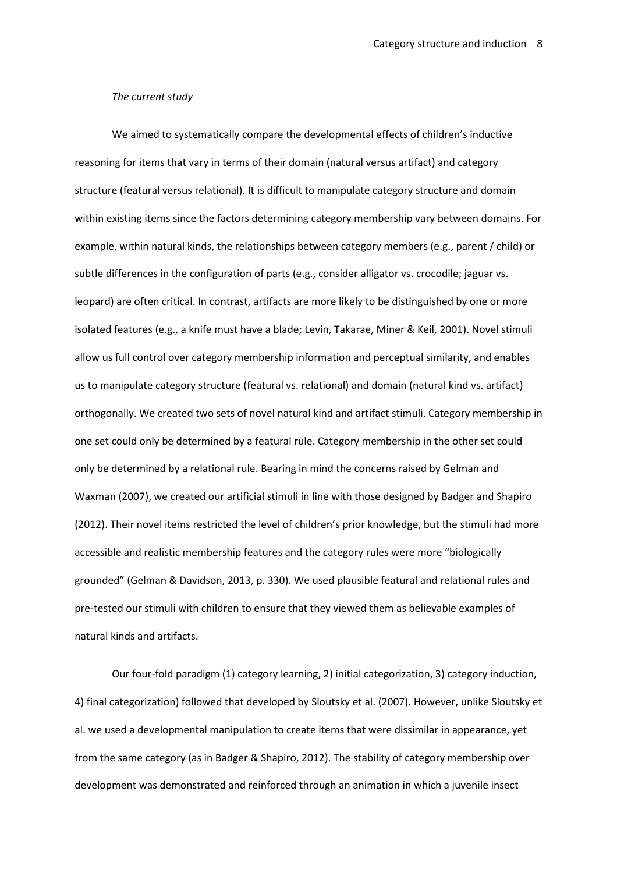## *The current study*

 We aimed to systematically compare the developmental effects of children's inductive reasoning for items that vary in terms of their domain (natural versus artifact) and category structure (featural versus relational). It is difficult to manipulate category structure and domain within existing items since the factors determining category membership vary between domains. For example, within natural kinds, the relationships between category members (e.g., parent / child) or subtle differences in the configuration of parts (e.g., consider alligator vs. crocodile; jaguar vs. leopard) are often critical. In contrast, artifacts are more likely to be distinguished by one or more isolated features (e.g., a knife must have a blade; Levin, Takarae, Miner & Keil, 2001). Novel stimuli allow us full control over category membership information and perceptual similarity, and enables us to manipulate category structure (featural vs. relational) and domain (natural kind vs. artifact) orthogonally. We created two sets of novel natural kind and artifact stimuli. Category membership in one set could only be determined by a featural rule. Category membership in the other set could only be determined by a relational rule. Bearing in mind the concerns raised by Gelman and Waxman (2007), we created our artificial stimuli in line with those designed by Badger and Shapiro (2012). Their novel items restricted the level of children's prior knowledge, but the stimuli had more accessible and realistic membership features and the category rules were more "biologically grounded" (Gelman & Davidson, 2013, p. 330). We used plausible featural and relational rules and pre-tested our stimuli with children to ensure that they viewed them as believable examples of natural kinds and artifacts.

Our four-fold paradigm (1) category learning, 2) initial categorization, 3) category induction, 4) final categorization) followed that developed by Sloutsky et al. (2007). However, unlike Sloutsky et al. we used a developmental manipulation to create items that were dissimilar in appearance, yet from the same category (as in Badger & Shapiro, 2012). The stability of category membership over development was demonstrated and reinforced through an animation in which a juvenile insect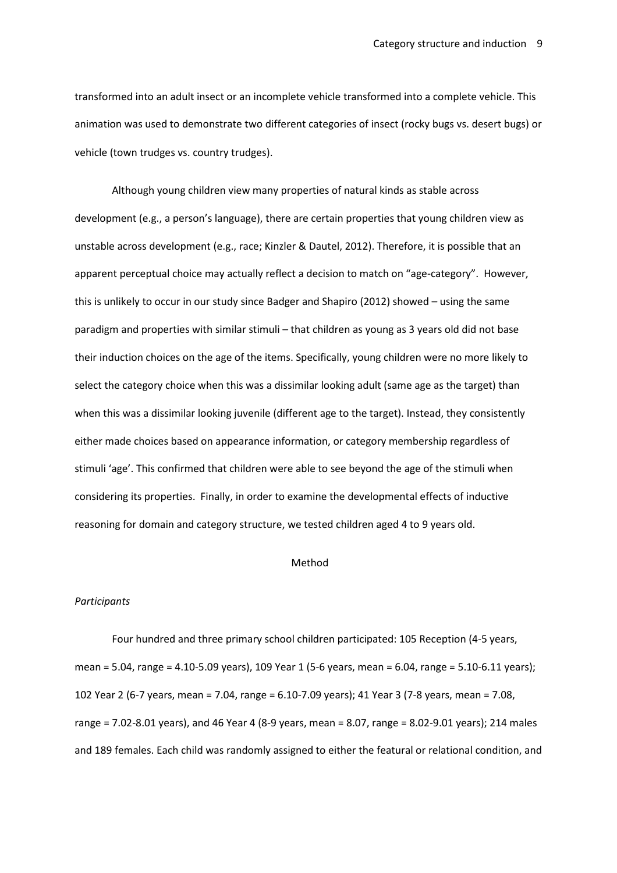transformed into an adult insect or an incomplete vehicle transformed into a complete vehicle. This animation was used to demonstrate two different categories of insect (rocky bugs vs. desert bugs) or vehicle (town trudges vs. country trudges).

Although young children view many properties of natural kinds as stable across development (e.g., a person's language), there are certain properties that young children view as unstable across development (e.g., race; Kinzler & Dautel, 2012). Therefore, it is possible that an apparent perceptual choice may actually reflect a decision to match on "age-category". However, this is unlikely to occur in our study since Badger and Shapiro (2012) showed – using the same paradigm and properties with similar stimuli – that children as young as 3 years old did not base their induction choices on the age of the items. Specifically, young children were no more likely to select the category choice when this was a dissimilar looking adult (same age as the target) than when this was a dissimilar looking juvenile (different age to the target). Instead, they consistently either made choices based on appearance information, or category membership regardless of stimuli 'age'. This confirmed that children were able to see beyond the age of the stimuli when considering its properties. Finally, in order to examine the developmental effects of inductive reasoning for domain and category structure, we tested children aged 4 to 9 years old.

## Method

#### *Participants*

Four hundred and three primary school children participated: 105 Reception (4-5 years, mean = 5.04, range = 4.10-5.09 years), 109 Year 1 (5-6 years, mean = 6.04, range = 5.10-6.11 years); 102 Year 2 (6-7 years, mean = 7.04, range = 6.10-7.09 years); 41 Year 3 (7-8 years, mean = 7.08, range = 7.02-8.01 years), and 46 Year 4 (8-9 years, mean = 8.07, range = 8.02-9.01 years); 214 males and 189 females. Each child was randomly assigned to either the featural or relational condition, and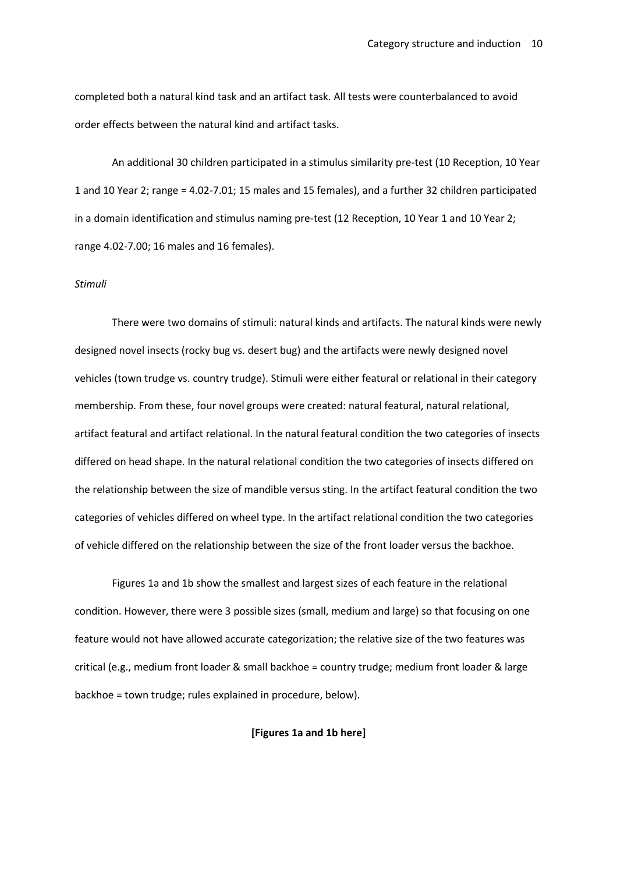completed both a natural kind task and an artifact task. All tests were counterbalanced to avoid order effects between the natural kind and artifact tasks.

An additional 30 children participated in a stimulus similarity pre-test (10 Reception, 10 Year 1 and 10 Year 2; range = 4.02-7.01; 15 males and 15 females), and a further 32 children participated in a domain identification and stimulus naming pre-test (12 Reception, 10 Year 1 and 10 Year 2; range 4.02-7.00; 16 males and 16 females).

#### *Stimuli*

There were two domains of stimuli: natural kinds and artifacts. The natural kinds were newly designed novel insects (rocky bug vs. desert bug) and the artifacts were newly designed novel vehicles (town trudge vs. country trudge). Stimuli were either featural or relational in their category membership. From these, four novel groups were created: natural featural, natural relational, artifact featural and artifact relational. In the natural featural condition the two categories of insects differed on head shape. In the natural relational condition the two categories of insects differed on the relationship between the size of mandible versus sting. In the artifact featural condition the two categories of vehicles differed on wheel type. In the artifact relational condition the two categories of vehicle differed on the relationship between the size of the front loader versus the backhoe.

Figures 1a and 1b show the smallest and largest sizes of each feature in the relational condition. However, there were 3 possible sizes (small, medium and large) so that focusing on one feature would not have allowed accurate categorization; the relative size of the two features was critical (e.g., medium front loader & small backhoe = country trudge; medium front loader & large backhoe = town trudge; rules explained in procedure, below).

## **[Figures 1a and 1b here]**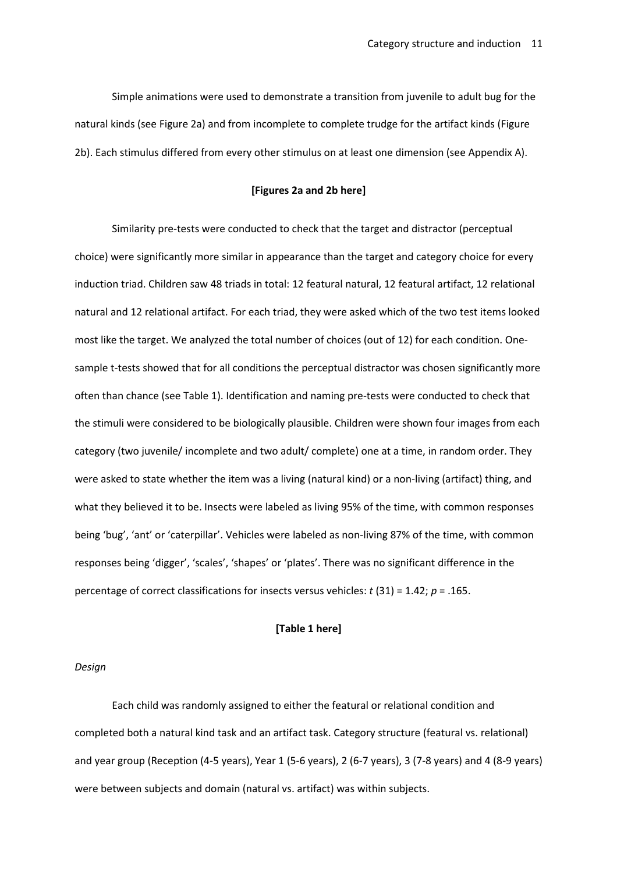Simple animations were used to demonstrate a transition from juvenile to adult bug for the natural kinds (see Figure 2a) and from incomplete to complete trudge for the artifact kinds (Figure 2b). Each stimulus differed from every other stimulus on at least one dimension (see Appendix A).

## **[Figures 2a and 2b here]**

Similarity pre-tests were conducted to check that the target and distractor (perceptual choice) were significantly more similar in appearance than the target and category choice for every induction triad. Children saw 48 triads in total: 12 featural natural, 12 featural artifact, 12 relational natural and 12 relational artifact. For each triad, they were asked which of the two test items looked most like the target. We analyzed the total number of choices (out of 12) for each condition. Onesample t-tests showed that for all conditions the perceptual distractor was chosen significantly more often than chance (see Table 1). Identification and naming pre-tests were conducted to check that the stimuli were considered to be biologically plausible. Children were shown four images from each category (two juvenile/ incomplete and two adult/ complete) one at a time, in random order. They were asked to state whether the item was a living (natural kind) or a non-living (artifact) thing, and what they believed it to be. Insects were labeled as living 95% of the time, with common responses being 'bug', 'ant' or 'caterpillar'. Vehicles were labeled as non-living 87% of the time, with common responses being 'digger', 'scales', 'shapes' or 'plates'. There was no significant difference in the percentage of correct classifications for insects versus vehicles: *t* (31) = 1.42; *p* = .165.

## **[Table 1 here]**

## *Design*

Each child was randomly assigned to either the featural or relational condition and completed both a natural kind task and an artifact task. Category structure (featural vs. relational) and year group (Reception (4-5 years), Year 1 (5-6 years), 2 (6-7 years), 3 (7-8 years) and 4 (8-9 years) were between subjects and domain (natural vs. artifact) was within subjects.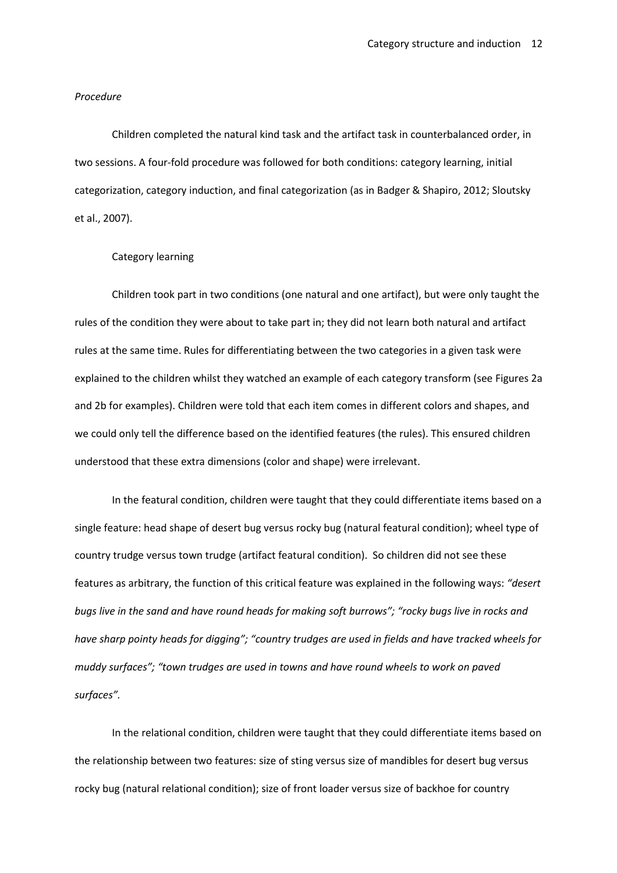#### *Procedure*

Children completed the natural kind task and the artifact task in counterbalanced order, in two sessions. A four-fold procedure was followed for both conditions: category learning, initial categorization, category induction, and final categorization (as in Badger & Shapiro, 2012; Sloutsky et al., 2007).

## Category learning

Children took part in two conditions (one natural and one artifact), but were only taught the rules of the condition they were about to take part in; they did not learn both natural and artifact rules at the same time. Rules for differentiating between the two categories in a given task were explained to the children whilst they watched an example of each category transform (see Figures 2a and 2b for examples). Children were told that each item comes in different colors and shapes, and we could only tell the difference based on the identified features (the rules). This ensured children understood that these extra dimensions (color and shape) were irrelevant.

In the featural condition, children were taught that they could differentiate items based on a single feature: head shape of desert bug versus rocky bug (natural featural condition); wheel type of country trudge versus town trudge (artifact featural condition). So children did not see these features as arbitrary, the function of this critical feature was explained in the following ways: *"desert bugs live in the sand and have round heads for making soft burrows"; "rocky bugs live in rocks and have sharp pointy heads for digging"; "country trudges are used in fields and have tracked wheels for muddy surfaces"; "town trudges are used in towns and have round wheels to work on paved surfaces".* 

In the relational condition, children were taught that they could differentiate items based on the relationship between two features: size of sting versus size of mandibles for desert bug versus rocky bug (natural relational condition); size of front loader versus size of backhoe for country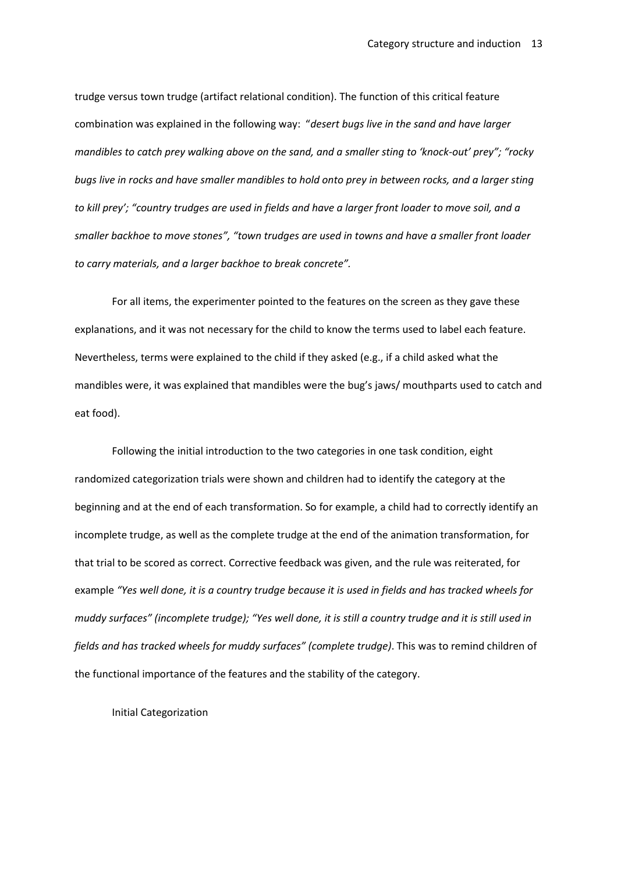trudge versus town trudge (artifact relational condition). The function of this critical feature combination was explained in the following way: "*desert bugs live in the sand and have larger mandibles to catch prey walking above on the sand, and a smaller sting to 'knock-out' prey"; "rocky bugs live in rocks and have smaller mandibles to hold onto prey in between rocks, and a larger sting to kill prey'; "country trudges are used in fields and have a larger front loader to move soil, and a smaller backhoe to move stones", "town trudges are used in towns and have a smaller front loader to carry materials, and a larger backhoe to break concrete".* 

For all items, the experimenter pointed to the features on the screen as they gave these explanations, and it was not necessary for the child to know the terms used to label each feature. Nevertheless, terms were explained to the child if they asked (e.g., if a child asked what the mandibles were, it was explained that mandibles were the bug's jaws/ mouthparts used to catch and eat food).

Following the initial introduction to the two categories in one task condition, eight randomized categorization trials were shown and children had to identify the category at the beginning and at the end of each transformation. So for example, a child had to correctly identify an incomplete trudge, as well as the complete trudge at the end of the animation transformation, for that trial to be scored as correct. Corrective feedback was given, and the rule was reiterated, for example *"Yes well done, it is a country trudge because it is used in fields and has tracked wheels for muddy surfaces" (incomplete trudge); "Yes well done, it is still a country trudge and it is still used in fields and has tracked wheels for muddy surfaces" (complete trudge)*. This was to remind children of the functional importance of the features and the stability of the category.

Initial Categorization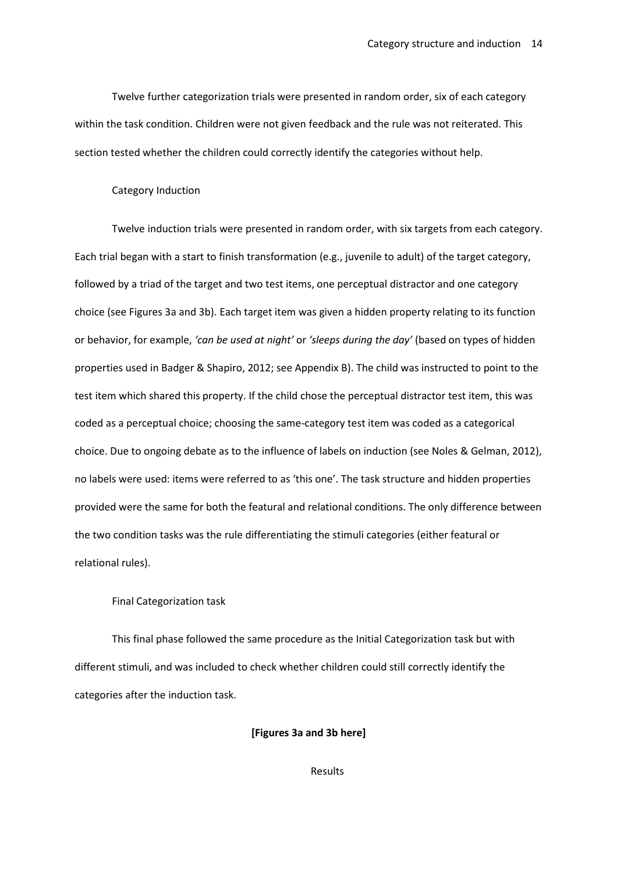Twelve further categorization trials were presented in random order, six of each category within the task condition. Children were not given feedback and the rule was not reiterated. This section tested whether the children could correctly identify the categories without help.

### Category Induction

Twelve induction trials were presented in random order, with six targets from each category. Each trial began with a start to finish transformation (e.g., juvenile to adult) of the target category, followed by a triad of the target and two test items, one perceptual distractor and one category choice (see Figures 3a and 3b). Each target item was given a hidden property relating to its function or behavior, for example, *'can be used at night'* or *'sleeps during the day'* (based on types of hidden properties used in Badger & Shapiro, 2012; see Appendix B). The child was instructed to point to the test item which shared this property. If the child chose the perceptual distractor test item, this was coded as a perceptual choice; choosing the same-category test item was coded as a categorical choice. Due to ongoing debate as to the influence of labels on induction (see Noles & Gelman, 2012), no labels were used: items were referred to as 'this one'. The task structure and hidden properties provided were the same for both the featural and relational conditions. The only difference between the two condition tasks was the rule differentiating the stimuli categories (either featural or relational rules).

#### Final Categorization task

This final phase followed the same procedure as the Initial Categorization task but with different stimuli, and was included to check whether children could still correctly identify the categories after the induction task.

## **[Figures 3a and 3b here]**

Results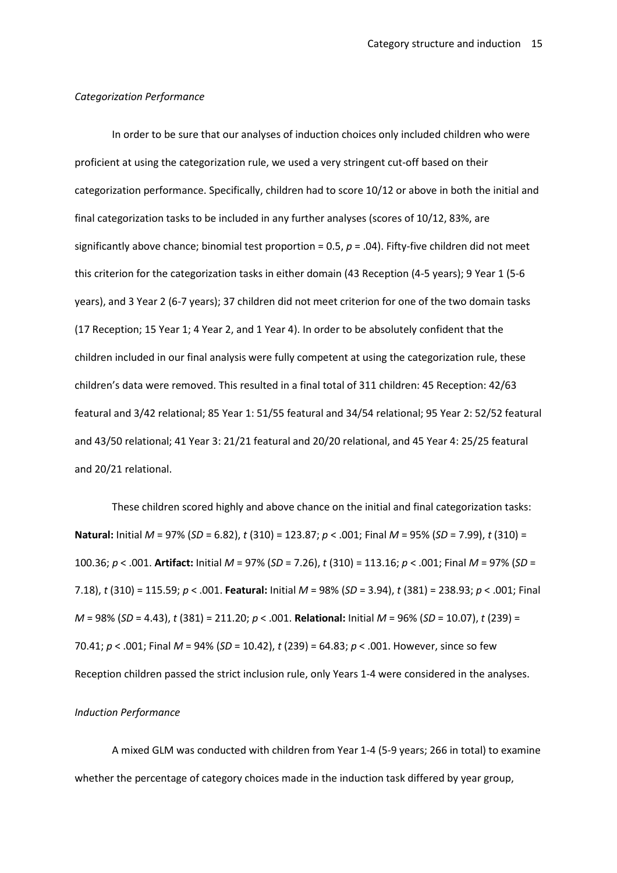#### *Categorization Performance*

In order to be sure that our analyses of induction choices only included children who were proficient at using the categorization rule, we used a very stringent cut-off based on their categorization performance. Specifically, children had to score 10/12 or above in both the initial and final categorization tasks to be included in any further analyses (scores of 10/12, 83%, are significantly above chance; binomial test proportion = 0.5, *p* = .04). Fifty-five children did not meet this criterion for the categorization tasks in either domain (43 Reception (4-5 years); 9 Year 1 (5-6 years), and 3 Year 2 (6-7 years); 37 children did not meet criterion for one of the two domain tasks (17 Reception; 15 Year 1; 4 Year 2, and 1 Year 4). In order to be absolutely confident that the children included in our final analysis were fully competent at using the categorization rule, these children's data were removed. This resulted in a final total of 311 children: 45 Reception: 42/63 featural and 3/42 relational; 85 Year 1: 51/55 featural and 34/54 relational; 95 Year 2: 52/52 featural and 43/50 relational; 41 Year 3: 21/21 featural and 20/20 relational, and 45 Year 4: 25/25 featural and 20/21 relational.

These children scored highly and above chance on the initial and final categorization tasks: **Natural:** Initial *M* = 97% (*SD* = 6.82), *t* (310) = 123.87; *p* < .001; Final *M* = 95% (*SD* = 7.99), *t* (310) = 100.36; *p* < .001. **Artifact:** Initial *M* = 97% (*SD* = 7.26), *t* (310) = 113.16; *p* < .001; Final *M* = 97% (*SD* = 7.18), *t* (310) = 115.59; *p* < .001. **Featural:** Initial *M* = 98% (*SD* = 3.94), *t* (381) = 238.93; *p* < .001; Final *M* = 98% (*SD* = 4.43), *t* (381) = 211.20; *p* < .001. **Relational:** Initial *M* = 96% (*SD* = 10.07), *t* (239) = 70.41; *p* < .001; Final *M* = 94% (*SD* = 10.42), *t* (239) = 64.83; *p* < .001. However, since so few Reception children passed the strict inclusion rule, only Years 1-4 were considered in the analyses.

### *Induction Performance*

A mixed GLM was conducted with children from Year 1-4 (5-9 years; 266 in total) to examine whether the percentage of category choices made in the induction task differed by year group,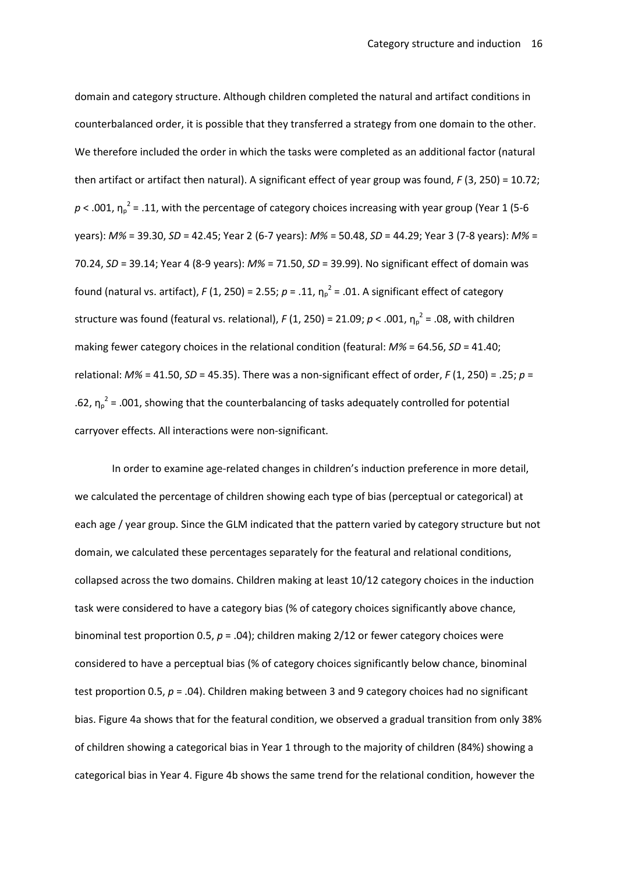domain and category structure. Although children completed the natural and artifact conditions in counterbalanced order, it is possible that they transferred a strategy from one domain to the other. We therefore included the order in which the tasks were completed as an additional factor (natural then artifact or artifact then natural). A significant effect of year group was found, *F* (3, 250) = 10.72;  $p$  < .001,  $\eta_p^2$  = .11, with the percentage of category choices increasing with year group (Year 1 (5-6 years): *M%* = 39.30, *SD* = 42.45; Year 2 (6-7 years): *M%* = 50.48, *SD* = 44.29; Year 3 (7-8 years): *M%* = 70.24, *SD* = 39.14; Year 4 (8-9 years): *M%* = 71.50, *SD* = 39.99). No significant effect of domain was found (natural vs. artifact),  $F(1, 250)$  = 2.55;  $p = .11$ ,  $\eta_p^2$  = .01. A significant effect of category structure was found (featural vs. relational),  $F(1, 250)$  = 21.09;  $p < .001$ ,  $\eta_p^2$  = .08, with children making fewer category choices in the relational condition (featural: *M%* = 64.56, *SD* = 41.40; relational: *M%* = 41.50, *SD* = 45.35). There was a non-significant effect of order, *F* (1, 250) = .25; *p* = .62,  $\eta_p^2$  = .001, showing that the counterbalancing of tasks adequately controlled for potential carryover effects. All interactions were non-significant.

In order to examine age-related changes in children's induction preference in more detail, we calculated the percentage of children showing each type of bias (perceptual or categorical) at each age / year group. Since the GLM indicated that the pattern varied by category structure but not domain, we calculated these percentages separately for the featural and relational conditions, collapsed across the two domains. Children making at least 10/12 category choices in the induction task were considered to have a category bias (% of category choices significantly above chance, binominal test proportion 0.5, *p* = .04); children making 2/12 or fewer category choices were considered to have a perceptual bias (% of category choices significantly below chance, binominal test proportion 0.5, *p* = .04). Children making between 3 and 9 category choices had no significant bias. Figure 4a shows that for the featural condition, we observed a gradual transition from only 38% of children showing a categorical bias in Year 1 through to the majority of children (84%) showing a categorical bias in Year 4. Figure 4b shows the same trend for the relational condition, however the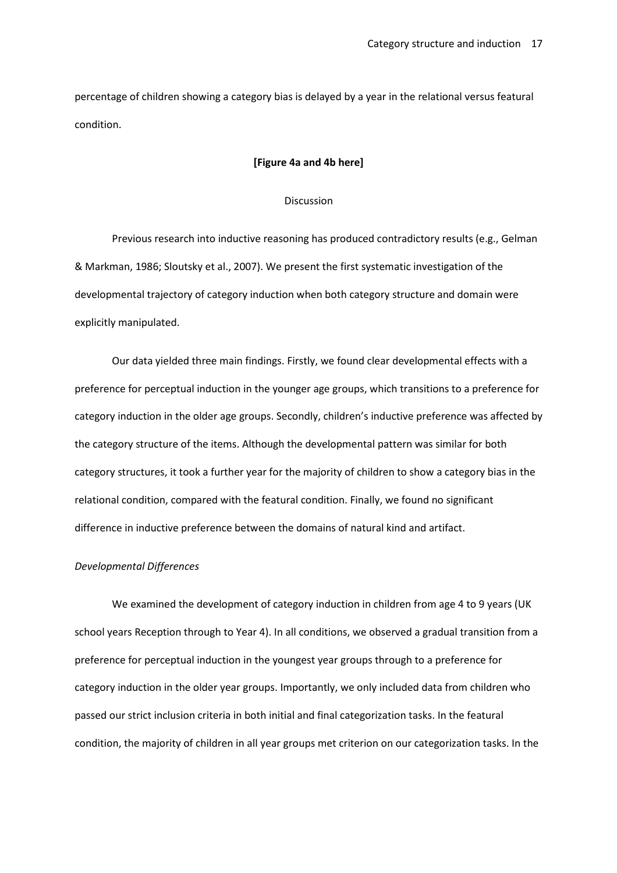percentage of children showing a category bias is delayed by a year in the relational versus featural condition.

#### **[Figure 4a and 4b here]**

## Discussion

Previous research into inductive reasoning has produced contradictory results (e.g., Gelman & Markman, 1986; Sloutsky et al., 2007). We present the first systematic investigation of the developmental trajectory of category induction when both category structure and domain were explicitly manipulated.

Our data yielded three main findings. Firstly, we found clear developmental effects with a preference for perceptual induction in the younger age groups, which transitions to a preference for category induction in the older age groups. Secondly, children's inductive preference was affected by the category structure of the items. Although the developmental pattern was similar for both category structures, it took a further year for the majority of children to show a category bias in the relational condition, compared with the featural condition. Finally, we found no significant difference in inductive preference between the domains of natural kind and artifact.

#### *Developmental Differences*

We examined the development of category induction in children from age 4 to 9 years (UK school years Reception through to Year 4). In all conditions, we observed a gradual transition from a preference for perceptual induction in the youngest year groups through to a preference for category induction in the older year groups. Importantly, we only included data from children who passed our strict inclusion criteria in both initial and final categorization tasks. In the featural condition, the majority of children in all year groups met criterion on our categorization tasks. In the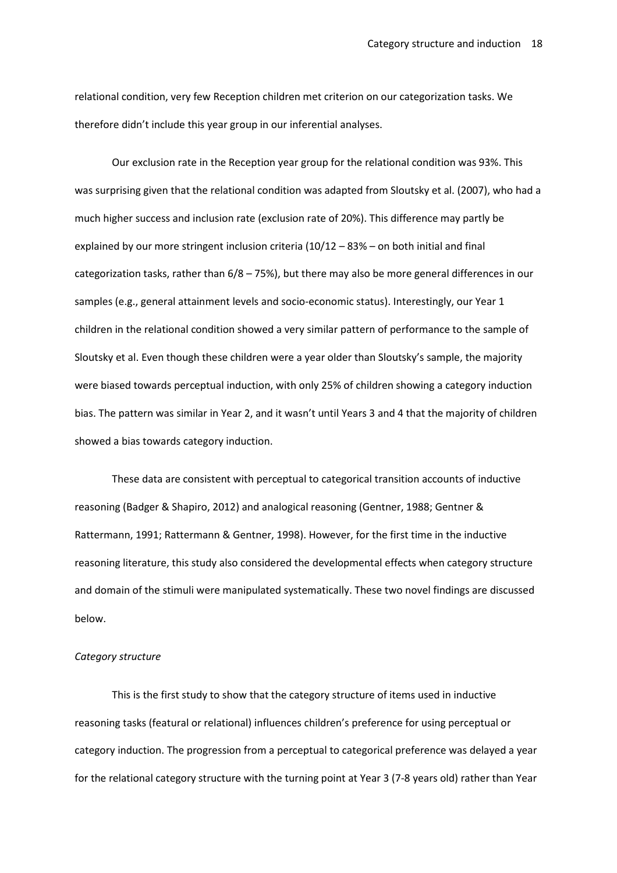relational condition, very few Reception children met criterion on our categorization tasks. We therefore didn't include this year group in our inferential analyses.

Our exclusion rate in the Reception year group for the relational condition was 93%. This was surprising given that the relational condition was adapted from Sloutsky et al. (2007), who had a much higher success and inclusion rate (exclusion rate of 20%). This difference may partly be explained by our more stringent inclusion criteria (10/12 – 83% – on both initial and final categorization tasks, rather than  $6/8 - 75$ %), but there may also be more general differences in our samples (e.g., general attainment levels and socio-economic status). Interestingly, our Year 1 children in the relational condition showed a very similar pattern of performance to the sample of Sloutsky et al. Even though these children were a year older than Sloutsky's sample, the majority were biased towards perceptual induction, with only 25% of children showing a category induction bias. The pattern was similar in Year 2, and it wasn't until Years 3 and 4 that the majority of children showed a bias towards category induction.

These data are consistent with perceptual to categorical transition accounts of inductive reasoning (Badger & Shapiro, 2012) and analogical reasoning (Gentner, 1988; Gentner & Rattermann, 1991; Rattermann & Gentner, 1998). However, for the first time in the inductive reasoning literature, this study also considered the developmental effects when category structure and domain of the stimuli were manipulated systematically. These two novel findings are discussed below.

#### *Category structure*

This is the first study to show that the category structure of items used in inductive reasoning tasks (featural or relational) influences children's preference for using perceptual or category induction. The progression from a perceptual to categorical preference was delayed a year for the relational category structure with the turning point at Year 3 (7-8 years old) rather than Year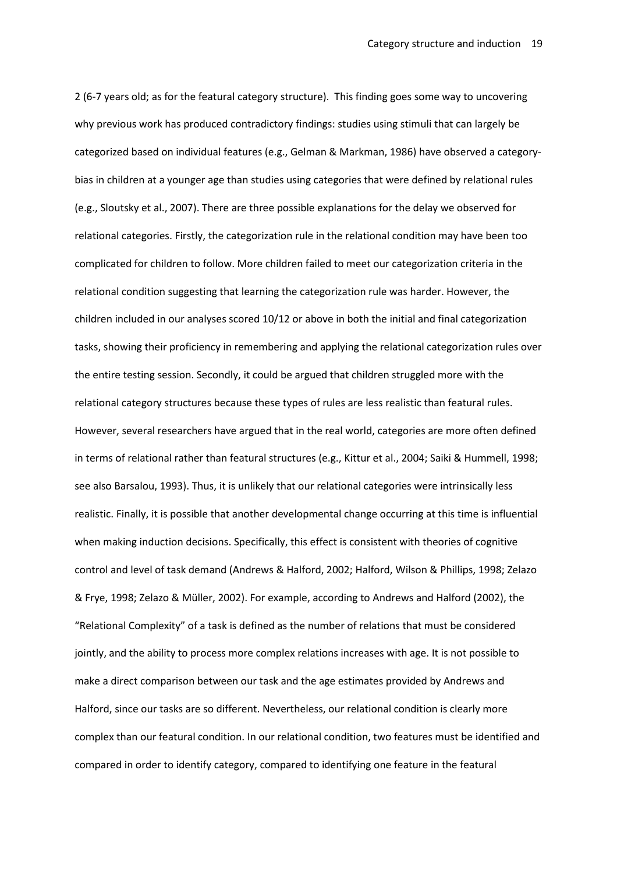2 (6-7 years old; as for the featural category structure). This finding goes some way to uncovering why previous work has produced contradictory findings: studies using stimuli that can largely be categorized based on individual features (e.g., Gelman & Markman, 1986) have observed a categorybias in children at a younger age than studies using categories that were defined by relational rules (e.g., Sloutsky et al., 2007). There are three possible explanations for the delay we observed for relational categories. Firstly, the categorization rule in the relational condition may have been too complicated for children to follow. More children failed to meet our categorization criteria in the relational condition suggesting that learning the categorization rule was harder. However, the children included in our analyses scored 10/12 or above in both the initial and final categorization tasks, showing their proficiency in remembering and applying the relational categorization rules over the entire testing session. Secondly, it could be argued that children struggled more with the relational category structures because these types of rules are less realistic than featural rules. However, several researchers have argued that in the real world, categories are more often defined in terms of relational rather than featural structures (e.g., Kittur et al., 2004; Saiki & Hummell, 1998; see also Barsalou, 1993). Thus, it is unlikely that our relational categories were intrinsically less realistic. Finally, it is possible that another developmental change occurring at this time is influential when making induction decisions. Specifically, this effect is consistent with theories of cognitive control and level of task demand (Andrews & Halford, 2002; Halford, Wilson & Phillips, 1998; Zelazo & Frye, 1998; Zelazo & Müller, 2002). For example, according to Andrews and Halford (2002), the "Relational Complexity" of a task is defined as the number of relations that must be considered jointly, and the ability to process more complex relations increases with age. It is not possible to make a direct comparison between our task and the age estimates provided by Andrews and Halford, since our tasks are so different. Nevertheless, our relational condition is clearly more complex than our featural condition. In our relational condition, two features must be identified and compared in order to identify category, compared to identifying one feature in the featural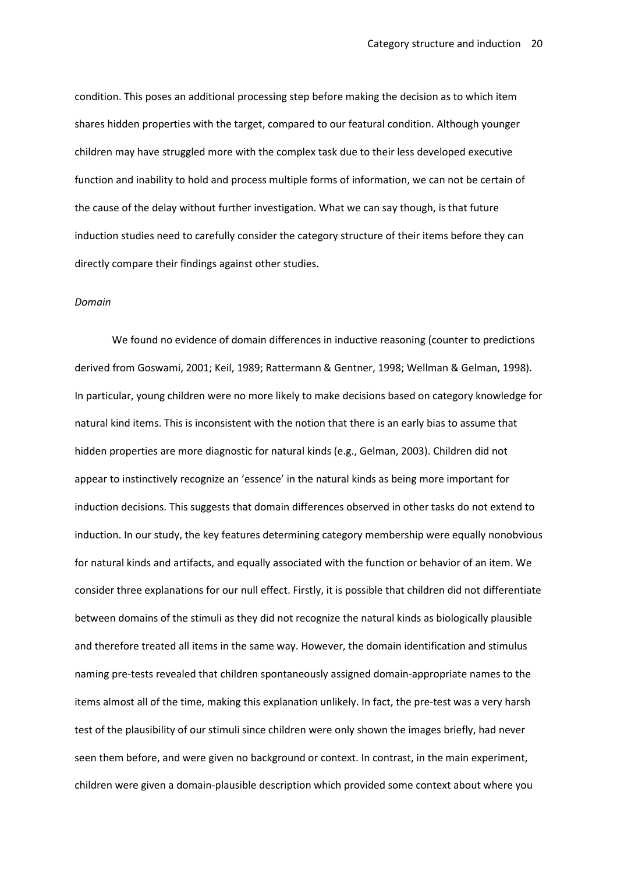condition. This poses an additional processing step before making the decision as to which item shares hidden properties with the target, compared to our featural condition. Although younger children may have struggled more with the complex task due to their less developed executive function and inability to hold and process multiple forms of information, we can not be certain of the cause of the delay without further investigation. What we can say though, is that future induction studies need to carefully consider the category structure of their items before they can directly compare their findings against other studies.

### *Domain*

We found no evidence of domain differences in inductive reasoning (counter to predictions derived from Goswami, 2001; Keil, 1989; Rattermann & Gentner, 1998; Wellman & Gelman, 1998). In particular, young children were no more likely to make decisions based on category knowledge for natural kind items. This is inconsistent with the notion that there is an early bias to assume that hidden properties are more diagnostic for natural kinds (e.g., Gelman, 2003). Children did not appear to instinctively recognize an 'essence' in the natural kinds as being more important for induction decisions. This suggests that domain differences observed in other tasks do not extend to induction. In our study, the key features determining category membership were equally nonobvious for natural kinds and artifacts, and equally associated with the function or behavior of an item. We consider three explanations for our null effect. Firstly, it is possible that children did not differentiate between domains of the stimuli as they did not recognize the natural kinds as biologically plausible and therefore treated all items in the same way. However, the domain identification and stimulus naming pre-tests revealed that children spontaneously assigned domain-appropriate names to the items almost all of the time, making this explanation unlikely. In fact, the pre-test was a very harsh test of the plausibility of our stimuli since children were only shown the images briefly, had never seen them before, and were given no background or context. In contrast, in the main experiment, children were given a domain-plausible description which provided some context about where you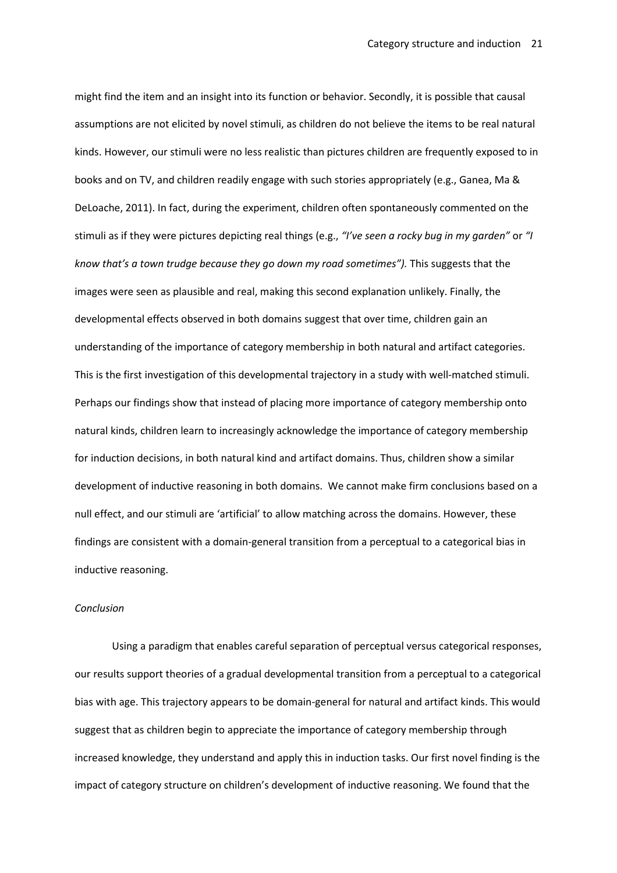might find the item and an insight into its function or behavior. Secondly, it is possible that causal assumptions are not elicited by novel stimuli, as children do not believe the items to be real natural kinds. However, our stimuli were no less realistic than pictures children are frequently exposed to in books and on TV, and children readily engage with such stories appropriately (e.g., Ganea, Ma & DeLoache, 2011). In fact, during the experiment, children often spontaneously commented on the stimuli as if they were pictures depicting real things (e.g., *"I've seen a rocky bug in my garden"* or *"I know that's a town trudge because they go down my road sometimes").* This suggests that the images were seen as plausible and real, making this second explanation unlikely. Finally, the developmental effects observed in both domains suggest that over time, children gain an understanding of the importance of category membership in both natural and artifact categories. This is the first investigation of this developmental trajectory in a study with well-matched stimuli. Perhaps our findings show that instead of placing more importance of category membership onto natural kinds, children learn to increasingly acknowledge the importance of category membership for induction decisions, in both natural kind and artifact domains. Thus, children show a similar development of inductive reasoning in both domains. We cannot make firm conclusions based on a null effect, and our stimuli are 'artificial' to allow matching across the domains. However, these findings are consistent with a domain-general transition from a perceptual to a categorical bias in inductive reasoning.

## *Conclusion*

Using a paradigm that enables careful separation of perceptual versus categorical responses, our results support theories of a gradual developmental transition from a perceptual to a categorical bias with age. This trajectory appears to be domain-general for natural and artifact kinds. This would suggest that as children begin to appreciate the importance of category membership through increased knowledge, they understand and apply this in induction tasks. Our first novel finding is the impact of category structure on children's development of inductive reasoning. We found that the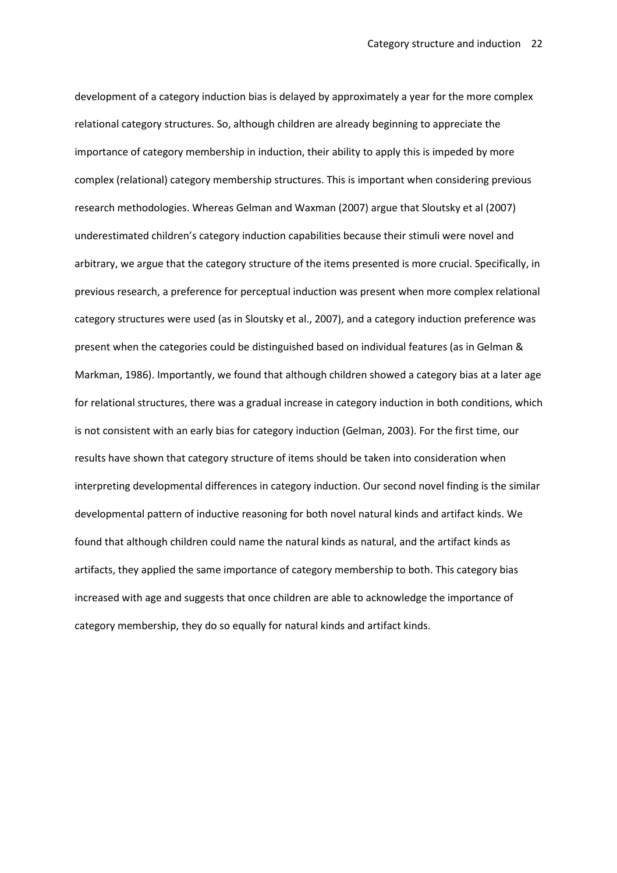development of a category induction bias is delayed by approximately a year for the more complex relational category structures. So, although children are already beginning to appreciate the importance of category membership in induction, their ability to apply this is impeded by more complex (relational) category membership structures. This is important when considering previous research methodologies. Whereas Gelman and Waxman (2007) argue that Sloutsky et al (2007) underestimated children's category induction capabilities because their stimuli were novel and arbitrary, we argue that the category structure of the items presented is more crucial. Specifically, in previous research, a preference for perceptual induction was present when more complex relational category structures were used (as in Sloutsky et al., 2007), and a category induction preference was present when the categories could be distinguished based on individual features (as in Gelman & Markman, 1986). Importantly, we found that although children showed a category bias at a later age for relational structures, there was a gradual increase in category induction in both conditions, which is not consistent with an early bias for category induction (Gelman, 2003). For the first time, our results have shown that category structure of items should be taken into consideration when interpreting developmental differences in category induction. Our second novel finding is the similar developmental pattern of inductive reasoning for both novel natural kinds and artifact kinds. We found that although children could name the natural kinds as natural, and the artifact kinds as artifacts, they applied the same importance of category membership to both. This category bias increased with age and suggests that once children are able to acknowledge the importance of category membership, they do so equally for natural kinds and artifact kinds.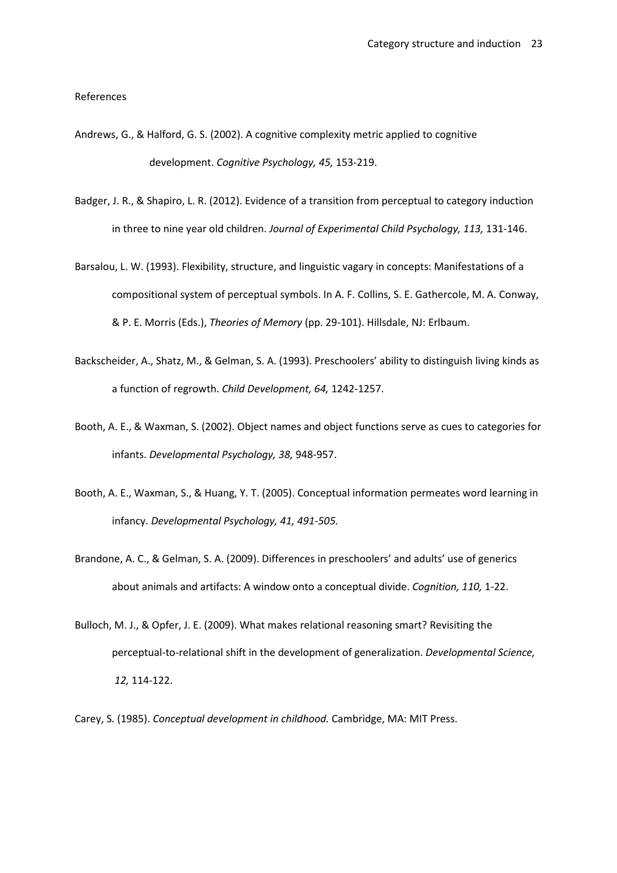References

- Andrews, G., & Halford, G. S. (2002). A cognitive complexity metric applied to cognitive development. *Cognitive Psychology, 45,* 153-219.
- Badger, J. R., & Shapiro, L. R. (2012). Evidence of a transition from perceptual to category induction in three to nine year old children. *Journal of Experimental Child Psychology, 113,* 131-146.
- Barsalou, L. W. (1993). Flexibility, structure, and linguistic vagary in concepts: Manifestations of a compositional system of perceptual symbols. In A. F. Collins, S. E. Gathercole, M. A. Conway, & P. E. Morris (Eds.), *Theories of Memory* (pp. 29-101). Hillsdale, NJ: Erlbaum.
- Backscheider, A., Shatz, M., & Gelman, S. A. (1993). Preschoolers' ability to distinguish living kinds as a function of regrowth. *Child Development, 64,* 1242-1257.
- Booth, A. E., & Waxman, S. (2002). Object names and object functions serve as cues to categories for infants. *Developmental Psychology, 38,* 948-957.
- Booth, A. E., Waxman, S., & Huang, Y. T. (2005). Conceptual information permeates word learning in infancy. *Developmental Psychology, 41, 491-505.*
- Brandone, A. C., & Gelman, S. A. (2009). Differences in preschoolers' and adults' use of generics about animals and artifacts: A window onto a conceptual divide. *Cognition, 110,* 1-22.
- Bulloch, M. J., & Opfer, J. E. (2009). What makes relational reasoning smart? Revisiting the perceptual-to-relational shift in the development of generalization. *Developmental Science, 12,* 114-122.

Carey, S. (1985). *Conceptual development in childhood.* Cambridge, MA: MIT Press.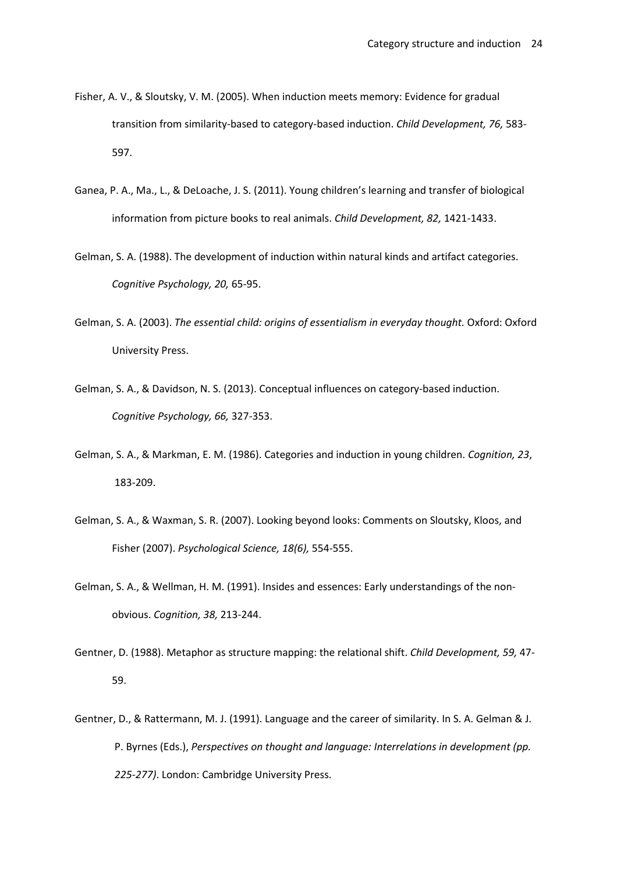- Fisher, A. V., & Sloutsky, V. M. (2005). When induction meets memory: Evidence for gradual transition from similarity-based to category-based induction. *Child Development, 76,* 583- 597.
- Ganea, P. A., Ma., L., & DeLoache, J. S. (2011). Young children's learning and transfer of biological information from picture books to real animals. *Child Development, 82,* 1421-1433.
- Gelman, S. A. (1988). The development of induction within natural kinds and artifact categories. *Cognitive Psychology, 20,* 65-95.
- Gelman, S. A. (2003). *The essential child: origins of essentialism in everyday thought.* Oxford: Oxford University Press.
- Gelman, S. A., & Davidson, N. S. (2013). Conceptual influences on category-based induction. *Cognitive Psychology, 66,* 327-353.
- Gelman, S. A., & Markman, E. M. (1986). Categories and induction in young children. *Cognition, 23*, 183-209.
- Gelman, S. A., & Waxman, S. R. (2007). Looking beyond looks: Comments on Sloutsky, Kloos, and Fisher (2007). *Psychological Science, 18(6),* 554-555.
- Gelman, S. A., & Wellman, H. M. (1991). Insides and essences: Early understandings of the non obvious. *Cognition, 38,* 213-244.
- Gentner, D. (1988). Metaphor as structure mapping: the relational shift. *Child Development, 59,* 47- 59.
- Gentner, D., & Rattermann, M. J. (1991). Language and the career of similarity. In S. A. Gelman & J. P. Byrnes (Eds.), *Perspectives on thought and language: Interrelations in development (pp. 225-277)*. London: Cambridge University Press.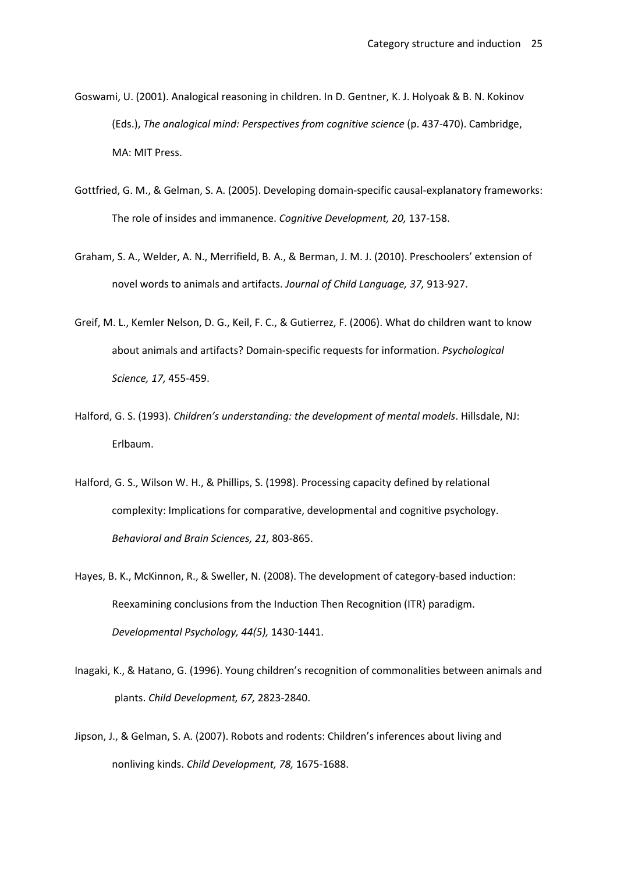- Goswami, U. (2001). Analogical reasoning in children. In D. Gentner, K. J. Holyoak & B. N. Kokinov (Eds.), *The analogical mind: Perspectives from cognitive science* (p. 437-470). Cambridge, MA: MIT Press.
- Gottfried, G. M., & Gelman, S. A. (2005). Developing domain-specific causal-explanatory frameworks: The role of insides and immanence. *Cognitive Development, 20,* 137-158.
- Graham, S. A., Welder, A. N., Merrifield, B. A., & Berman, J. M. J. (2010). Preschoolers' extension of novel words to animals and artifacts. *Journal of Child Language, 37,* 913-927.
- Greif, M. L., Kemler Nelson, D. G., Keil, F. C., & Gutierrez, F. (2006). What do children want to know about animals and artifacts? Domain-specific requests for information. *Psychological Science, 17,* 455-459.
- Halford, G. S. (1993). *Children's understanding: the development of mental models*. Hillsdale, NJ: Erlbaum.
- Halford, G. S., Wilson W. H., & Phillips, S. (1998). Processing capacity defined by relational complexity: Implications for comparative, developmental and cognitive psychology. *Behavioral and Brain Sciences, 21,* 803-865.
- Hayes, B. K., McKinnon, R., & Sweller, N. (2008). The development of category-based induction: Reexamining conclusions from the Induction Then Recognition (ITR) paradigm. *Developmental Psychology, 44(5),* 1430-1441.
- Inagaki, K., & Hatano, G. (1996). Young children's recognition of commonalities between animals and plants. *Child Development, 67,* 2823-2840.
- Jipson, J., & Gelman, S. A. (2007). Robots and rodents: Children's inferences about living and nonliving kinds. *Child Development, 78,* 1675-1688.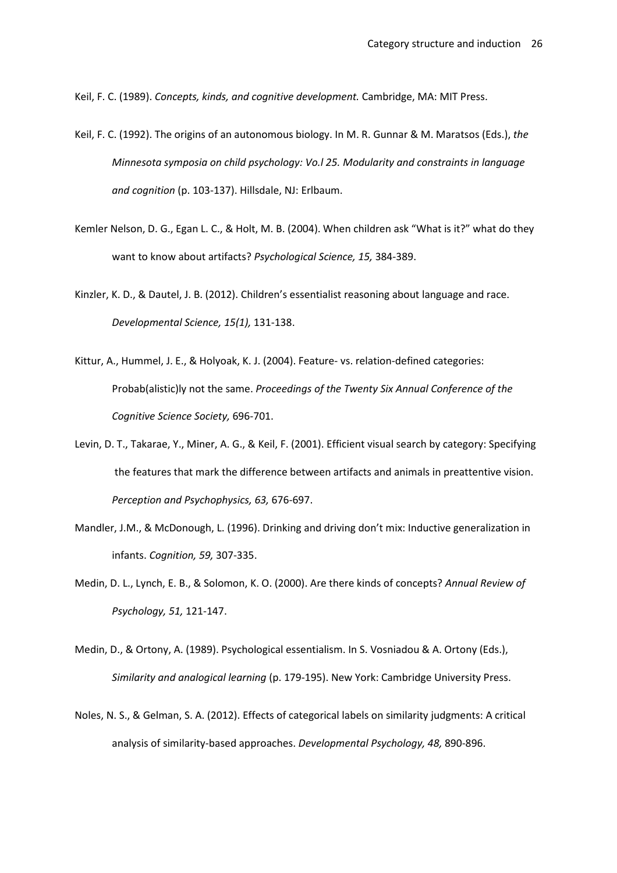Keil, F. C. (1989). *Concepts, kinds, and cognitive development.* Cambridge, MA: MIT Press.

- Keil, F. C. (1992). The origins of an autonomous biology. In M. R. Gunnar & M. Maratsos (Eds.), *the Minnesota symposia on child psychology: Vo.l 25. Modularity and constraints in language and cognition* (p. 103-137). Hillsdale, NJ: Erlbaum.
- Kemler Nelson, D. G., Egan L. C., & Holt, M. B. (2004). When children ask "What is it?" what do they want to know about artifacts? *Psychological Science, 15,* 384-389.
- Kinzler, K. D., & Dautel, J. B. (2012). Children's essentialist reasoning about language and race. *Developmental Science, 15(1),* 131-138.
- Kittur, A., Hummel, J. E., & Holyoak, K. J. (2004). Feature- vs. relation-defined categories: Probab(alistic)ly not the same. *Proceedings of the Twenty Six Annual Conference of the Cognitive Science Society,* 696-701.
- Levin, D. T., Takarae, Y., Miner, A. G., & Keil, F. (2001). Efficient visual search by category: Specifying the features that mark the difference between artifacts and animals in preattentive vision. *Perception and Psychophysics, 63,* 676-697.
- Mandler, J.M., & McDonough, L. (1996). Drinking and driving don't mix: Inductive generalization in infants. *Cognition, 59,* 307-335.
- Medin, D. L., Lynch, E. B., & Solomon, K. O. (2000). Are there kinds of concepts? *Annual Review of Psychology, 51,* 121-147.
- Medin, D., & Ortony, A. (1989). Psychological essentialism. In S. Vosniadou & A. Ortony (Eds.), *Similarity and analogical learning* (p. 179-195). New York: Cambridge University Press.
- Noles, N. S., & Gelman, S. A. (2012). Effects of categorical labels on similarity judgments: A critical analysis of similarity-based approaches. *Developmental Psychology, 48,* 890-896.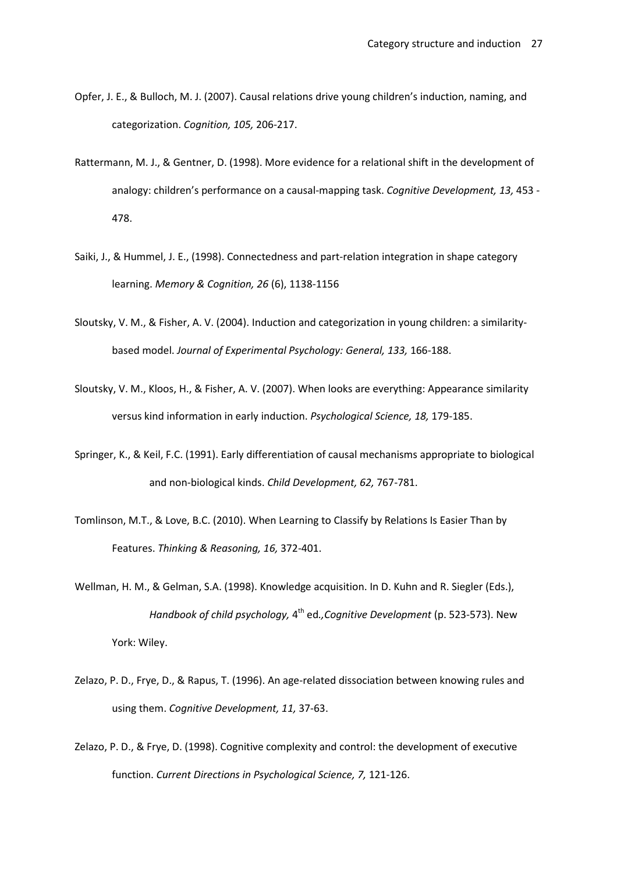- Opfer, J. E., & Bulloch, M. J. (2007). Causal relations drive young children's induction, naming, and categorization. *Cognition, 105,* 206-217.
- Rattermann, M. J., & Gentner, D. (1998). More evidence for a relational shift in the development of analogy: children's performance on a causal-mapping task. *Cognitive Development, 13,* 453 - 478.
- Saiki, J., & Hummel, J. E., (1998). Connectedness and part-relation integration in shape category learning. *Memory & Cognition, 26* (6), 1138-1156
- Sloutsky, V. M., & Fisher, A. V. (2004). Induction and categorization in young children: a similarity based model. *Journal of Experimental Psychology: General, 133,* 166-188.
- Sloutsky, V. M., Kloos, H., & Fisher, A. V. (2007). When looks are everything: Appearance similarity versus kind information in early induction. *Psychological Science, 18,* 179-185.
- Springer, K., & Keil, F.C. (1991). Early differentiation of causal mechanisms appropriate to biological and non-biological kinds. *Child Development, 62,* 767-781.
- Tomlinson, M.T., & Love, B.C. (2010). When Learning to Classify by Relations Is Easier Than by Features. *Thinking & Reasoning, 16,* 372-401.
- Wellman, H. M., & Gelman, S.A. (1998). Knowledge acquisition. In D. Kuhn and R. Siegler (Eds.), *Handbook of child psychology,* 4 th ed*.,Cognitive Development* (p. 523-573). New York: Wiley.
- Zelazo, P. D., Frye, D., & Rapus, T. (1996). An age-related dissociation between knowing rules and using them. *Cognitive Development, 11,* 37-63.
- Zelazo, P. D., & Frye, D. (1998). Cognitive complexity and control: the development of executive function. *Current Directions in Psychological Science, 7,* 121-126.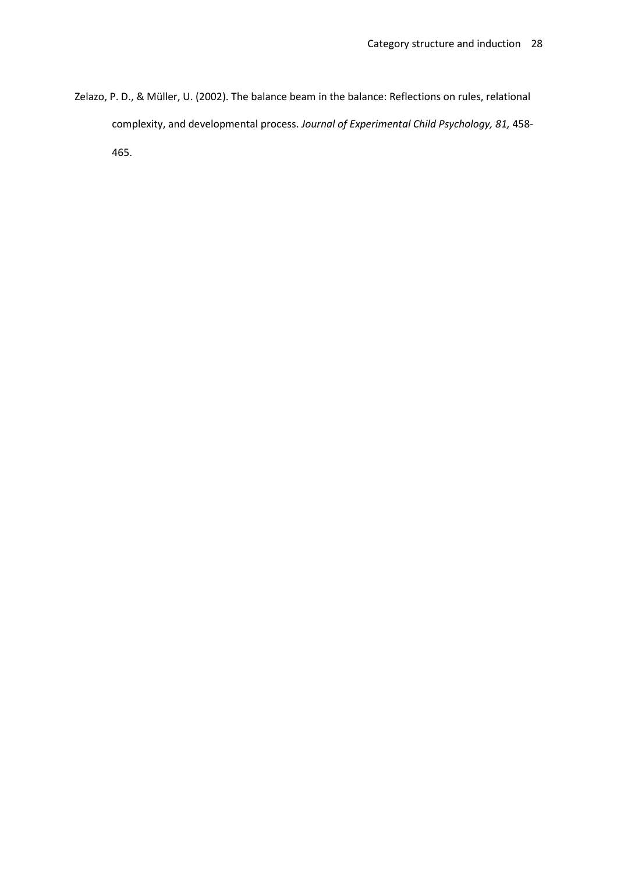Zelazo, P. D., & Müller, U. (2002). The balance beam in the balance: Reflections on rules, relational complexity, and developmental process. *Journal of Experimental Child Psychology, 81,* 458- 465.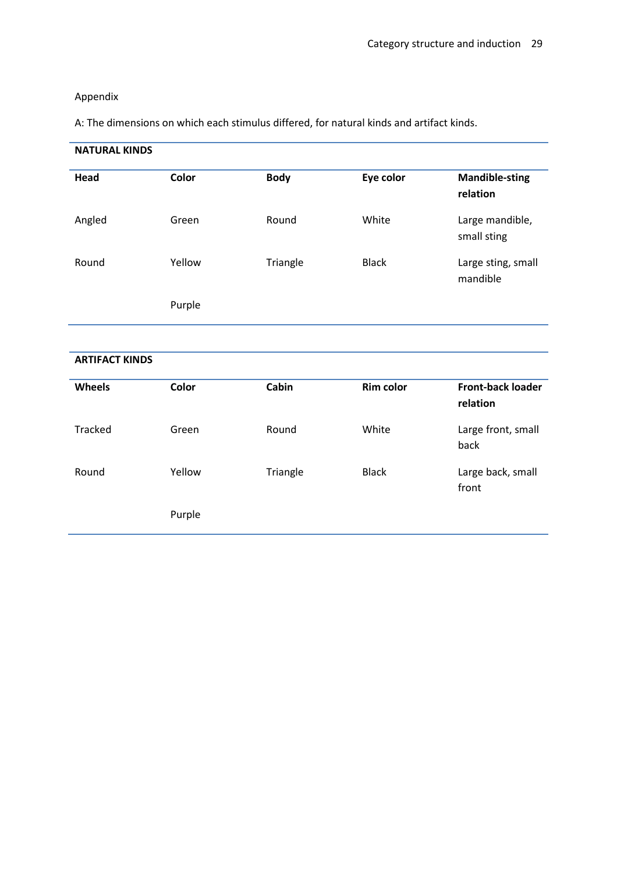# Appendix

A: The dimensions on which each stimulus differed, for natural kinds and artifact kinds.

| <b>NATURAL KINDS</b>  |              |             |                  |                                      |  |
|-----------------------|--------------|-------------|------------------|--------------------------------------|--|
| Head                  | <b>Color</b> | <b>Body</b> | Eye color        | <b>Mandible-sting</b><br>relation    |  |
| Angled                | Green        | Round       | White            | Large mandible,<br>small sting       |  |
| Round                 | Yellow       | Triangle    | <b>Black</b>     | Large sting, small<br>mandible       |  |
|                       | Purple       |             |                  |                                      |  |
| <b>ARTIFACT KINDS</b> |              |             |                  |                                      |  |
|                       |              |             |                  |                                      |  |
| Wheels                | Color        | Cabin       | <b>Rim color</b> | <b>Front-back loader</b><br>relation |  |
| <b>Tracked</b>        | Green        | Round       | White            | Large front, small<br>back           |  |
| Round                 | Yellow       | Triangle    | <b>Black</b>     | Large back, small<br>front           |  |
|                       | Purple       |             |                  |                                      |  |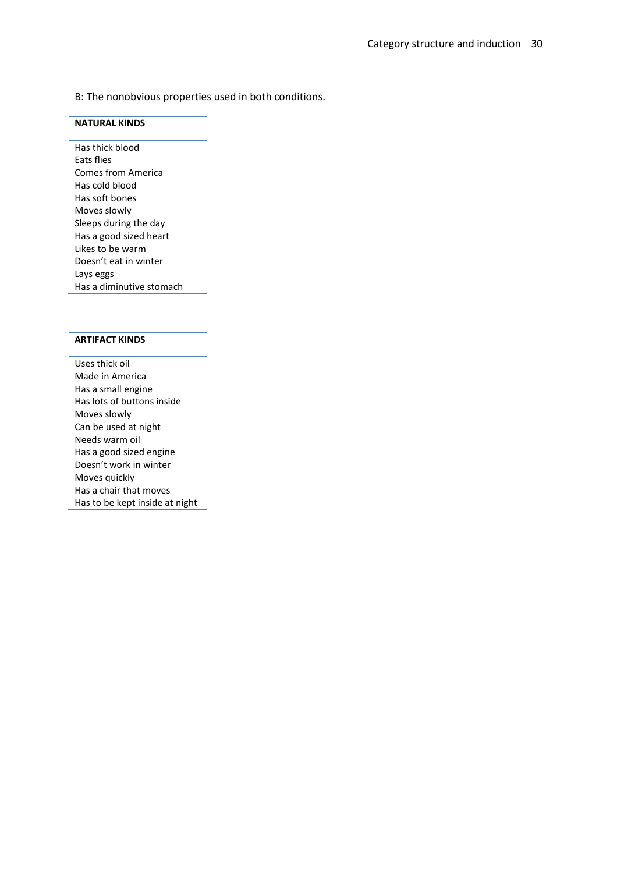B: The nonobvious properties used in both conditions.

## **NATURAL KINDS**

Has thick blood Eats flies Comes from America Has cold blood Has soft bones Moves slowly Sleeps during the day Has a good sized heart Likes to be warm Doesn't eat in winter Lays eggs Has a diminutive stomach

## **ARTIFACT KINDS**

Uses thick oil Made in America Has a small engine Has lots of buttons inside Moves slowly Can be used at night Needs warm oil Has a good sized engine Doesn't work in winter Moves quickly Has a chair that moves Has to be kept inside at night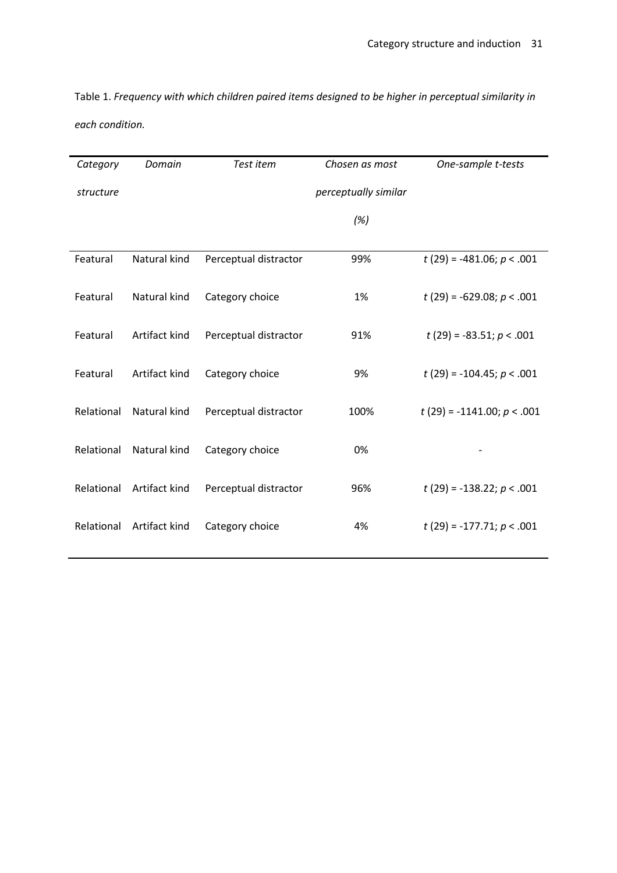Table 1. *Frequency with which children paired items designed to be higher in perceptual similarity in each condition.*

| Category   | Domain        | Test item             | Chosen as most       | One-sample t-tests           |
|------------|---------------|-----------------------|----------------------|------------------------------|
| structure  |               |                       | perceptually similar |                              |
|            |               |                       | (%)                  |                              |
|            |               |                       |                      |                              |
| Featural   | Natural kind  | Perceptual distractor | 99%                  | $t(29) = -481.06; p < .001$  |
| Featural   | Natural kind  | Category choice       | 1%                   | $t(29) = -629.08; p < .001$  |
| Featural   | Artifact kind | Perceptual distractor | 91%                  | $t(29) = -83.51; p < .001$   |
|            |               |                       |                      |                              |
| Featural   | Artifact kind | Category choice       | 9%                   | $t(29) = -104.45; p < .001$  |
| Relational | Natural kind  | Perceptual distractor | 100%                 | $t(29) = -1141.00; p < .001$ |
| Relational | Natural kind  | Category choice       | 0%                   |                              |
|            |               |                       |                      |                              |
| Relational | Artifact kind | Perceptual distractor | 96%                  | $t(29) = -138.22; p < .001$  |
| Relational | Artifact kind | Category choice       | 4%                   | $t(29) = -177.71; p < .001$  |
|            |               |                       |                      |                              |